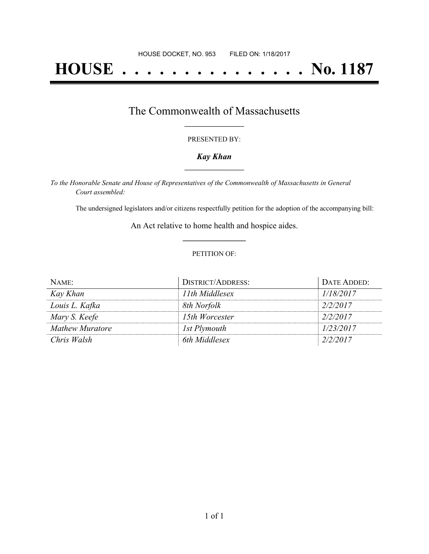# **HOUSE . . . . . . . . . . . . . . . No. 1187**

### The Commonwealth of Massachusetts **\_\_\_\_\_\_\_\_\_\_\_\_\_\_\_\_\_**

#### PRESENTED BY:

#### *Kay Khan* **\_\_\_\_\_\_\_\_\_\_\_\_\_\_\_\_\_**

*To the Honorable Senate and House of Representatives of the Commonwealth of Massachusetts in General Court assembled:*

The undersigned legislators and/or citizens respectfully petition for the adoption of the accompanying bill:

An Act relative to home health and hospice aides. **\_\_\_\_\_\_\_\_\_\_\_\_\_\_\_**

#### PETITION OF:

| NAME:           | <b>DISTRICT/ADDRESS:</b> | DATE ADDED: |
|-----------------|--------------------------|-------------|
| Kay Khan        | 11th Middlesex           | 1/18/2017   |
| Louis L. Kafka  | 8th Norfolk              | 2/2/2017    |
| Mary S. Keefe   | 15th Worcester           | 2/2/2017    |
| Mathew Muratore | 1st Plymouth             | 1/23/2017   |
| Chris Walsh     | 6th Middlesex            | 2/2/2017    |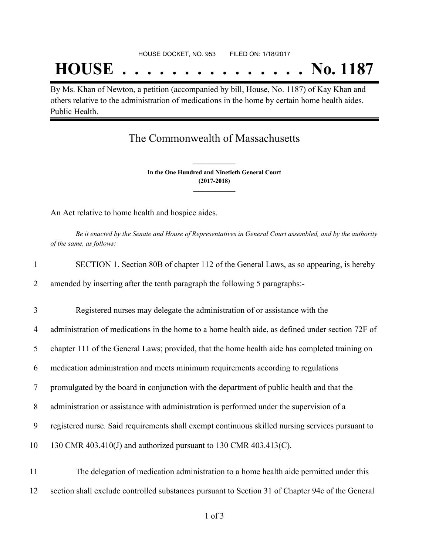## **HOUSE . . . . . . . . . . . . . . . No. 1187**

By Ms. Khan of Newton, a petition (accompanied by bill, House, No. 1187) of Kay Khan and others relative to the administration of medications in the home by certain home health aides. Public Health.

## The Commonwealth of Massachusetts

**In the One Hundred and Ninetieth General Court (2017-2018) \_\_\_\_\_\_\_\_\_\_\_\_\_\_\_**

**\_\_\_\_\_\_\_\_\_\_\_\_\_\_\_**

An Act relative to home health and hospice aides.

Be it enacted by the Senate and House of Representatives in General Court assembled, and by the authority *of the same, as follows:*

| $\mathbf{1}$ | SECTION 1. Section 80B of chapter 112 of the General Laws, as so appearing, is hereby            |
|--------------|--------------------------------------------------------------------------------------------------|
| 2            | amended by inserting after the tenth paragraph the following 5 paragraphs:-                      |
| 3            | Registered nurses may delegate the administration of or assistance with the                      |
| 4            | administration of medications in the home to a home health aide, as defined under section 72F of |
| 5            | chapter 111 of the General Laws; provided, that the home health aide has completed training on   |
| 6            | medication administration and meets minimum requirements according to regulations                |
| 7            | promulgated by the board in conjunction with the department of public health and that the        |
| 8            | administration or assistance with administration is performed under the supervision of a         |
| 9            | registered nurse. Said requirements shall exempt continuous skilled nursing services pursuant to |
| 10           | 130 CMR 403.410(J) and authorized pursuant to 130 CMR 403.413(C).                                |
| 11           | The delegation of medication administration to a home health aide permitted under this           |
| 12           | section shall exclude controlled substances pursuant to Section 31 of Chapter 94c of the General |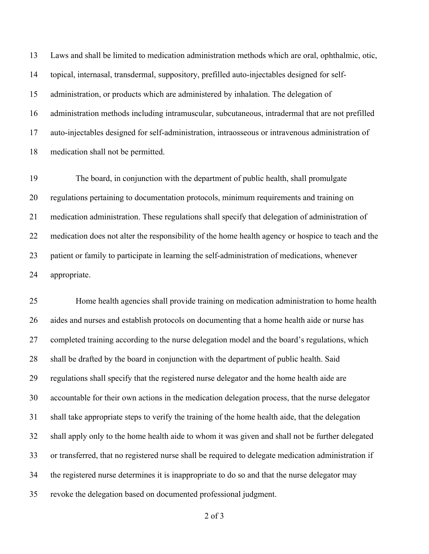Laws and shall be limited to medication administration methods which are oral, ophthalmic, otic, topical, internasal, transdermal, suppository, prefilled auto-injectables designed for self- administration, or products which are administered by inhalation. The delegation of administration methods including intramuscular, subcutaneous, intradermal that are not prefilled auto-injectables designed for self-administration, intraosseous or intravenous administration of medication shall not be permitted.

 The board, in conjunction with the department of public health, shall promulgate regulations pertaining to documentation protocols, minimum requirements and training on medication administration. These regulations shall specify that delegation of administration of medication does not alter the responsibility of the home health agency or hospice to teach and the patient or family to participate in learning the self-administration of medications, whenever appropriate.

 Home health agencies shall provide training on medication administration to home health aides and nurses and establish protocols on documenting that a home health aide or nurse has completed training according to the nurse delegation model and the board's regulations, which shall be drafted by the board in conjunction with the department of public health. Said regulations shall specify that the registered nurse delegator and the home health aide are accountable for their own actions in the medication delegation process, that the nurse delegator shall take appropriate steps to verify the training of the home health aide, that the delegation shall apply only to the home health aide to whom it was given and shall not be further delegated or transferred, that no registered nurse shall be required to delegate medication administration if the registered nurse determines it is inappropriate to do so and that the nurse delegator may revoke the delegation based on documented professional judgment.

of 3